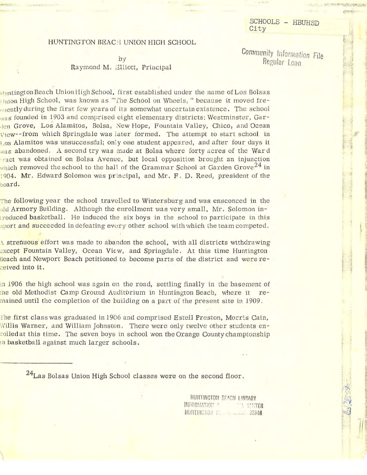**SCHOOLS - HBUHSD** City

## HUNTINGTON BEACH UNION HIGH SCHOOL

## by Raymond M. Elliott, Principal

Community Information File Regular Loan

unitington Beach Union High School, first established under the name of Los Bolsas Inion High School, was known as "The School on Wheels," because it moved freently during the first few years of its somewhat uncertain existence. The school was founded in 1903 and comprised eight elementary districts: Westminster, Garten Grove, Los Alamitos, Bolsa, New Hope, Fountain Valley, Chico, and Ocean view-from which Springdale was later formed. The attempt to start school in Los Alamitos was unsuccessful; only one student appeared, and after four days it was abandoned. A second try was made at Bolsa where forty acres of the Ward rract was obtained on Bolsa Avenue, but local opposition brought an injunction which removed the school to the hall of the Grammar School at Garden Grove<sup>24</sup> in 1904. Mr. Edward Solomon was principal, and Mr. F. D. Reed, president of the board.

The following year the school travelled to Wintersburg and was ensconced in the old Armory Building. Although the enrollment was very small, Mr. Solomon inroduced basketball. He induced the six boys in the school to participate in this sport and succeeded in defeating every other school with which the team competed.

A strenuous effort was made to abandon the school, with all districts withdrawing except Fountain Valley, Ocean View, and Springdale. At this time Huntington Beach and Newport Beach petitioned to become parts of the district and were received into it.

in 1906 the high school was again on the road, settling finally in the basement of the old Methodist Camp Ground Auditorium in Huntington Beach, where it remained until the completion of the building on a part of the present site in 1909.

The first class was graduated in 1906 and comprised Estell Preston, Morris Cain, Willis Warner, and William Johnston. There were only twelve other students enrolled at this time. The seven boys in school won the Orange County championship In basketball against much larger schools.

<sup>24</sup>Las Bolsas Union High School classes were on the second floor.

HUNTINGTON BEACH LIBRARY INFORMATION **LESSENTER** HUNTINGTON U.S. C. C. 22648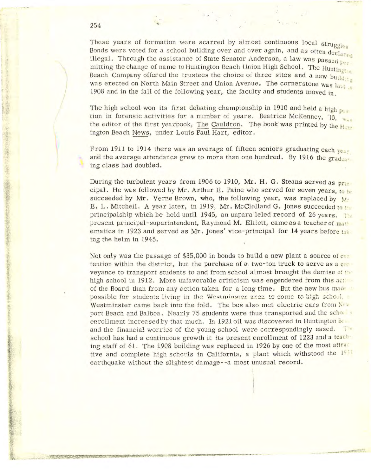These years of formation were scarred by almost continuous local struggles Bonds were voted for a school building over and over again, and as often declared illegal. Through the assistance of State Senator Anderson, a law was passed per. mitting the change of name to Huntington Beach Union High School. The Huntington Beach Company offered the trustees the choice of three sites and a new builder was erected on North Main Street and Union Avenue. The cornerstone was late 1908 and in the fall of the following year, the faculty and students moved in.

The high school won its first debating championship in 1910 and held a high  $p_{\text{min}}$ tion in forensic activities for a number of years. Beatrice McKenney, '10, the editor of the first yearbook, The Cauldron. The book was printed by the Hear ington Beach News, under Louis Paul Hart, editor.

From 1911 to 1914 there was an average of fifteen seniors graduating each year. and the average attendance grew to more than one hundred. By 1916 the grader ing class had doubled.

During the turbulent years from 1906 to 1910, Mr. H. G. Steans served as press cipal. He was followed by Mr. Arthur E. Paine who served for seven years, to tr succeeded by Mr. Verne Brown, who, the following year, was replaced by M. E. L. Mitchell. A year later, in 1919, Mr. McClelland G. Jones succeeded to the principalship which he held until 1945, an unparalleled record of 26 years. present principal-superintendent, Raymond M. Elliott, came as a teacher of matter ematics in 1923 and served as Mr. Jones' vice-principal for 14 years before the ing the helm in 1945.

Not only was the passage of \$35,000 in bonds to build a new plant a source of co. tention within the district, but the purchase of a two-ton truck to serve as a comveyance to transport students to and from school almost brought the demise of the high school in 1912. More unfavorable criticism was engendered from this active of the Board than from any action taken for a long time. But the new bus made possible for students living in the Westminster area to come to high school, Westminster came back into the fold. The bus also met electric cars from  $N \rightarrow$ port Beach and Balboa. Nearly 75 students were thus transported and the schools enrollment increased by that much. In 1921 oil was discovered in Huntington is and the financial worries of the young school were correspondingly eased. school has had a continuous growth it its present enrollment of 1223 and a teacher ing staff of 61. The 1908 building was replaced in 1926 by one of the most attractional tive and complete high schools in California, a plant which withstood the 1911 earthquake without the slightest damage--a most unusual record.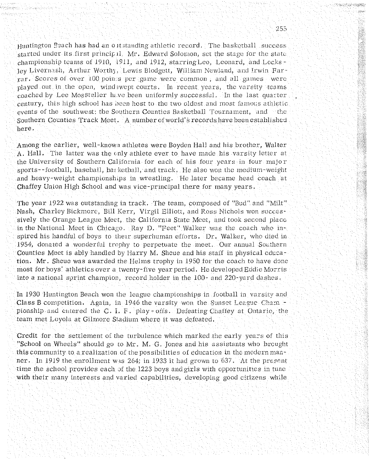Huntington Beach has had an outstanding athletic record. The basketball success started under its first principal. Mr. Edward Solomon, set the stage for the state. championship teams of 1910, 1911, and 1912, starring Leo, Leonard, and Locks lev Livernash, Arthur Worthy, Lewis Blodgett, William Newland, and Irwin Farrar. Scores of over 100 points per game were common, and all games were played out in the open, windswept courts. In recent years, the varsity teams coached by Lee Mossteller have been uniformly successful. In the last quarter century, this high school has been host to the two oldest and most famous athletic. events of the southwest; the Southern Counties Basketball Tournament, and the Southern Counties Track Meet. A number of world's records have been established here.

Among the earlier, well-known athletes were Boyden Hall and his brother, Walter A. Hall. The latter was the only athlete ever to have made his varsity letter at the University of Southern California for each of his four years in four major sports-football, baseball, basketball, and track. He also won the medium-weight and heavy-weight championships in wrestling. He later became head coach at Chaffey Union High School and was vice-principal there for many years.

The year 1922 was outstanding in track. The team, composed of "Bud" and "Milt" Nash, Charley Bickmore, Bill Kerr, Virgil Elliott, and Ross Nichols won successively the Orange League Meet, the California State Meet, and took second place in the National Meet in Chicago, Ray D. "Feet" Walker was the coach who inspired his handful of boys to their superhuman efforts. Dr. Walker, who died in 1954, donated a wonderful trophy to perpetuate the meet. Our annual Southern Counties Meet is ably handled by Harry M. Sheue and his staff in physical education. Mr. Sheue was awarded the Helms trophy in 1950 for the coach to have done most for boys' athletics over a twenty-five year period. He developed Eddie Morris into a national sprint champion, record holder in the 100- and 220-yard dashes.

In 1930 Huntington Beach won the league championships in football in varsity and **Class B competition.** Again, in 1946 the varsity won the Sunset League Cham  $\pm$ pionship and entered the C.I. F. play-offs. Defeating Chaffey at Ontario, the team met Loyola at Gilmore Stadium where it was defeated.

Credit for the settlement of the turbulence which marked the early years of this "School on Wheels" should go to Mr. M. G. Jones and his assistants who brought this community to a realization of the possibilities of education in the modern manner. In 1919 the enrollment was 264; in 1933 it had grown to 637. At the present time the school provides each of the 1223 boys and girls with opportunities in tune with their many interests and varied capabilities, developing good citizens while

**The products** 

 $\mathcal{G}^{\text{max}}_{\text{R}}$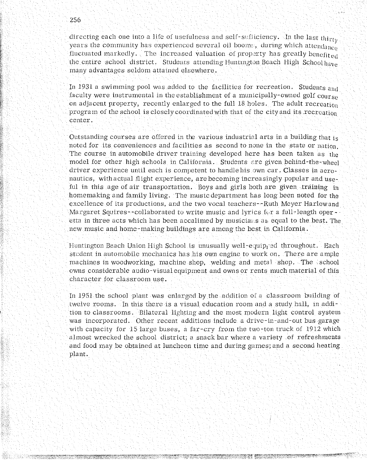directing each one into a life of usefulness and self-sufficiency. In the last thirty years the community has experienced several oil booms, during which attendance fluctuated markedly. The increased valuation of property has greatly benefited the entire school district. Students attending Huntington Beach High School have many advantages seldom attained elsewhere.

In 1931 a swimming pool was added to the facilities for recreation. Students and faculty were instrumental in the establishment of a municipally-owned golf course on adjacent property, recently enlarged to the full 18 holes. The adult recreation program of the school is closely coordinated with that of the city and its recreation center.

Outstanding courses are offered in the various industrial arts in a building that is noted for its conveniences and facilities as second to none in the state or nation. The course in automobile driver training developed here has been taken as the model for other high schools in California. Students are given behind-the-wheel driver experience until each is competent to handle his own car. Classes in aeronautics, with actual flight experience, are becoming increasingly popular and useful in this age of air transportation. Boys and girls both are given training in homemaking and family living. The music department has long been noted for the excellence of its productions, and the two vocal teachers--Ruth Meyer Harlowand Margaret Squires--collaborated to write music and lyrics  $f(x)$  a full-length oper etta in three acts which has been accalimed by musicians as equal to the best. The new music and home-making buildings are among the best in California.

Huntington Beach Union High School is unusually well-equipped throughout. Each student in automobile mechanics has his own engine to work on. There are ample machines in woodworking, machine shop, welding and metal shop. The school  $owns$  considerable audio-visual equipment and owns or rents much material of this character for classroom use.

In 1951 the school plant was enlarged by the addition of a classroom building of twelve rooms. In this there is a visual education room and a study hall, in addition to classrooms. Bilateral lighting and the most modern light control system was incorporated. Other recent additions include a drive-in-and-out bus garage with capacity for 15 large buses, a far-cry from the two-ton truck of 1912 which almost wrecked the school district; a snack bar where a variety .of refreshments and food may be obtained at luncheon time and during games; and a second heating plant.